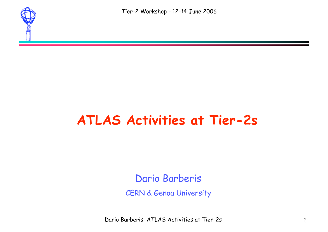

#### **ATLAS Activities at Tier-2s**

Dario Barberis

CERN & Genoa University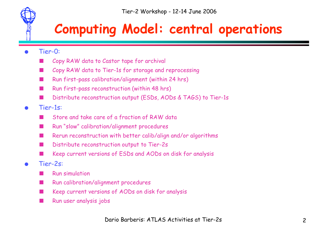#### **Computing Model: central operations**

- Tier-0:
	- Copy RAW data to Castor tape for archival
	- Copy RAW data to Tier-1s for storage and reprocessing
	- Run first-pass calibration/alignment (within 24 hrs)
	- Run first-pass reconstruction (within 48 hrs)
	- Distribute reconstruction output (ESDs, AODs & TAGS) to Tier-1s
- Tier-1s:
	- Store and take care of a fraction of RAW data
	- Run "slow" calibration/alignment procedures
	- Rerun reconstruction with better calib/align and/or algorithms
	- Distribute reconstruction output to Tier-2s
	- Keep current versions of ESDs and AODs on disk for analysis
- Tier-2s:
	- **Run simulation**
	- Run calibration/alignment procedures
	- Keep current versions of AODs on disk for analysis
	- Run user analysis jobs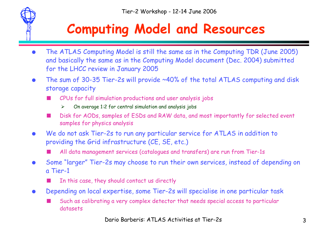## **Computing Model and Resources**

- The ATLAS Computing Model is still the same as in the Computing TDR (June 2005) and basically the same as in the Computing Model document (Dec. 2004) submitted for the LHCC review in January 2005
- The sum of 30-35 Tier-2s will provide ~40% of the total ATLAS computing and disk storage capacity
	- CPUs for full simulation productions and user analysis jobs
		- $\triangleright$  On average 1:2 for central simulation and analysis jobs
	- Disk for AODs, samples of ESDs and RAW data, and most importantly for selected event samples for physics analysis
- We do not ask Tier-2s to run any particular service for ATLAS in addition to providing the Grid infrastructure (CE, SE, etc.)

All data management services (catalogues and transfers) are run from Tier-1s

- Some "larger" Tier-2s may choose to run their own services, instead of depending on a Tier-1
	- In this case, they should contact us directly
- Depending on local expertise, some Tier-2s will specialise in one particular task
	- Such as calibrating a very complex detector that needs special access to particular datasets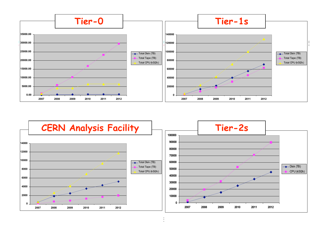

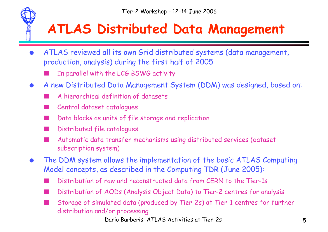#### **ATLAS Distributed Data Management**

- ATLAS reviewed all its own Grid distributed systems (data management, production, analysis) during the first half of 2005
	- In parallel with the LCG BSWG activity
- A new Distributed Data Management System (DDM) was designed, based on:
	- A hierarchical definition of datasets
	- Central dataset catalogues
	- Data blocks as units of file storage and replication
	- Distributed file catalogues
	- Automatic data transfer mechanisms using distributed services (dataset subscription system)
- The DDM system allows the implementation of the basic ATLAS Computing Model concepts, as described in the Computing TDR (June 2005):
	- Distribution of raw and reconstructed data from CERN to the Tier-1s
	- Distribution of AODs (Analysis Object Data) to Tier-2 centres for analysis
	- Storage of simulated data (produced by Tier-2s) at Tier-1 centres for further distribution and/or processing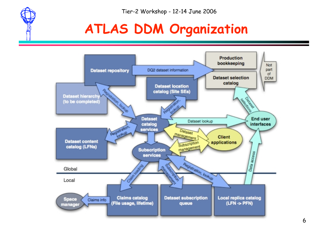

## **ATLAS DDM Organization**

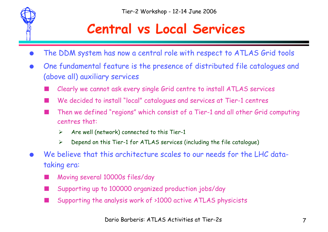

#### **Central vs Local Services**

- The DDM system has now a central role with respect to ATLAS Grid tools
- One fundamental feature is the presence of distributed file catalogues and (above all) auxiliary services
	- Clearly we cannot ask every single Grid centre to install ATLAS services
	- We decided to install "local" catalogues and services at Tier-1 centres
	- Then we defined "regions" which consist of a Tier-1 and all other Grid computing centres that:
		- $\triangleright$  Are well (network) connected to this Tier-1
		- $\triangleright$  Depend on this Tier-1 for ATLAS services (including the file catalogue)
- We believe that this architecture scales to our needs for the LHC datataking era:
	- Moving several 10000s files/day
	- Supporting up to 100000 organized production jobs/day
	- Supporting the analysis work of >1000 active ATLAS physicists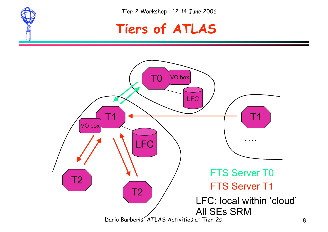



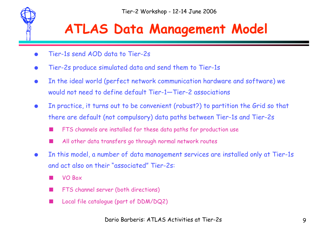

## **ATLAS Data Management Model**

- Tier-1s send AOD data to Tier-2s
- Tier-2s produce simulated data and send them to Tier-1s
- In the ideal world (perfect network communication hardware and software) we would not need to define default Tier-1—Tier-2 associations
- In practice, it turns out to be convenient (robust?) to partition the Grid so that there are default (not compulsory) data paths between Tier-1s and Tier-2s
	- FTS channels are installed for these data paths for production use
	- All other data transfers go through normal network routes
- In this model, a number of data management services are installed only at Tier-1s and act also on their "associated" Tier-2s:
	- VO Box
	- FTS channel server (both directions)
	- Local file catalogue (part of DDM/DQ2)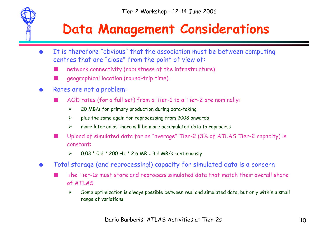### **Data Management Considerations**

- It is therefore "obvious" that the association must be between computing centres that are "close" from the point of view of:
	- network connectivity (robustness of the infrastructure)
	- geographical location (round-trip time)
- Rates are not a problem:
	- AOD rates (for a full set) from a Tier-1 to a Tier-2 are nominally:
		- $\geq$  20 MB/s for primary production during data-taking
		- $\triangleright$  plus the same again for reprocessing from 2008 onwards
		- $\triangleright$  more later on as there will be more accumulated data to reprocess
	- Upload of simulated data for an "average" Tier-2 (3% of ATLAS Tier-2 capacity) is constant:
		- $\ge 0.03 * 0.2 * 200$  Hz \* 2.6 MB = 3.2 MB/s continuously
- Total storage (and reprocessing!) capacity for simulated data is a concern
	- The Tier-1s must store and reprocess simulated data that match their overall share of ATLAS
		- $\triangleright$  Some optimization is always possible between real and simulated data, but only within a small range of variations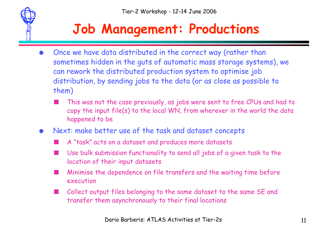

## **Job Management: Productions**

- Once we have data distributed in the correct way (rather than sometimes hidden in the guts of automatic mass storage systems), we can rework the distributed production system to optimise job distribution, by sending jobs to the data (or as close as possible to them)
	- This was not the case previously, as jobs were sent to free CPUs and had to copy the input file(s) to the local WN, from wherever in the world the data happened to be
- Next: make better use of the task and dataset concepts
	- A "task" acts on a dataset and produces more datasets
	- Use bulk submission functionality to send all jobs of a given task to the location of their input datasets
	- Minimise the dependence on file transfers and the waiting time before execution
	- Collect output files belonging to the same dataset to the same SE and transfer them asynchronously to their final locations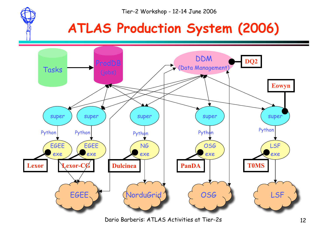#### **ATLAS Production System (2006)**

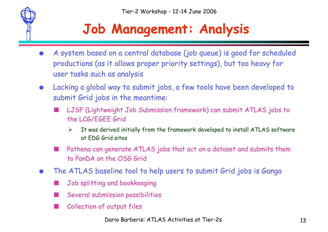

## **Job Management: Analysis**

- A system based on a central database (job queue) is good for scheduled productions (as it allows proper priority settings), but too heavy for user tasks such as analysis
- Lacking a global way to submit jobs, a few tools have been developed to submit Grid jobs in the meantime:
	- LJSF (Lightweight Job Submission framework) can submit ATLAS jobs to the LCG/EGEE Grid
		- $\triangleright$  It was derived initially from the framework developed to install ATLAS software at EDG Grid sites
	- Pathena can generate ATLAS jobs that act on a dataset and submits them to PanDA on the OSG Grid
- The ATLAS baseline tool to help users to submit Grid jobs is Ganga
	- Job splitting and bookkeeping
	- Several submission possibilities
	- Collection of output files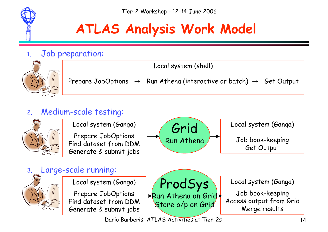

# **ATLAS Analysis Work Model**

#### 1. Job preparation:



Local system (shell) Prepare JobOptions  $\rightarrow$  Run Athena (interactive or batch)  $\rightarrow$  Get Output

#### 2. Medium-scale testing:

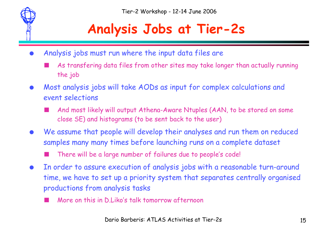

## **Analysis Jobs at Tier-2s**

- Analysis jobs must run where the input data files are
	- As transfering data files from other sites may take longer than actually running the job
- Most analysis jobs will take AODs as input for complex calculations and event selections
	- And most likely will output Athena-Aware Ntuples (AAN, to be stored on some close SE) and histograms (to be sent back to the user)
- We assume that people will develop their analyses and run them on reduced samples many many times before launching runs on a complete dataset
	- There will be a large number of failures due to people's code!
- In order to assure execution of analysis jobs with a reasonable turn-around time, we have to set up a priority system that separates centrally organised productions from analysis tasks
	- More on this in D.Liko's talk tomorrow afternoon